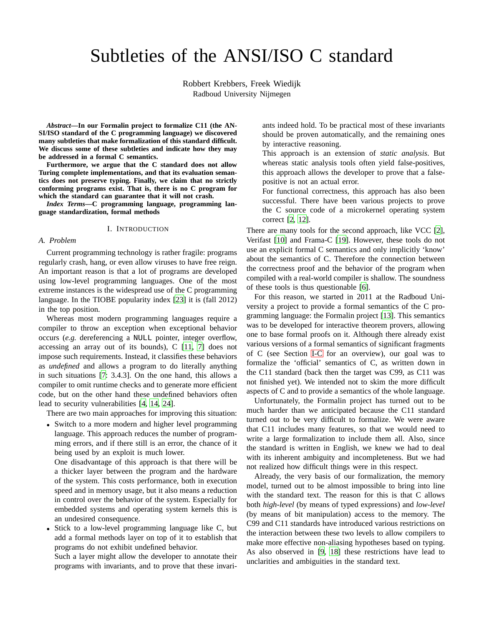# Subtleties of the ANSI/ISO C standard

Robbert Krebbers, Freek Wiedijk Radboud University Nijmegen

*Abstract***—In our Formalin project to formalize C11 (the AN-SI/ISO standard of the C programming language) we discovered many subtleties that make formalization of this standard difficult. We discuss some of these subtleties and indicate how they may be addressed in a formal C semantics.**

**Furthermore, we argue that the C standard does not allow Turing complete implementations, and that its evaluation semantics does not preserve typing. Finally, we claim that no strictly conforming programs exist. That is, there is no C program for which the standard can guarantee that it will not crash.**

*Index Terms***—C programming language, programming language standardization, formal methods**

#### I. INTRODUCTION

#### *A. Problem*

Current programming technology is rather fragile: programs regularly crash, hang, or even allow viruses to have free reign. An important reason is that a lot of programs are developed using low-level programming languages. One of the most extreme instances is the widespread use of the C programming language. In the TIOBE popularity index [\[23](#page-9-0)] it is (fall 2012) in the top position.

Whereas most modern programming languages require a compiler to throw an exception when exceptional behavior occurs (*e.g.* dereferencing a NULL pointer, integer overflow, accessing an array out of its bounds), C [\[11,](#page-9-1) [7](#page-9-2)] does not impose such requirements. Instead, it classifies these behaviors as *undefined* and allows a program to do literally anything in such situations [\[7:](#page-9-2) 3.4.3]. On the one hand, this allows a compiler to omit runtime checks and to generate more efficient code, but on the other hand these undefined behaviors often lead to security vulnerabilities [\[4](#page-9-3), [14](#page-9-4), [24\]](#page-9-5).

There are two main approaches for improving this situation:

• Switch to a more modern and higher level programming language. This approach reduces the number of programming errors, and if there still is an error, the chance of it being used by an exploit is much lower.

One disadvantage of this approach is that there will be a thicker layer between the program and the hardware of the system. This costs performance, both in execution speed and in memory usage, but it also means a reduction in control over the behavior of the system. Especially for embedded systems and operating system kernels this is an undesired consequence.

• Stick to a low-level programming language like C, but add a formal methods layer on top of it to establish that programs do not exhibit undefined behavior.

Such a layer might allow the developer to annotate their programs with invariants, and to prove that these invari-

ants indeed hold. To be practical most of these invariants should be proven automatically, and the remaining ones by interactive reasoning.

This approach is an extension of *static analysis*. But whereas static analysis tools often yield false-positives, this approach allows the developer to prove that a falsepositive is not an actual error.

For functional correctness, this approach has also been successful. There have been various projects to prove the C source code of a microkernel operating system correct [\[2](#page-9-6), [12](#page-9-7)].

There are many tools for the second approach, like VCC [\[2](#page-9-6)], Verifast [\[10\]](#page-9-8) and Frama-C [\[19\]](#page-9-9). However, these tools do not use an explicit formal C semantics and only implicitly 'know' about the semantics of C. Therefore the connection between the correctness proof and the behavior of the program when compiled with a real-world compiler is shallow. The soundness of these tools is thus questionable [\[6\]](#page-9-10).

For this reason, we started in 2011 at the Radboud University a project to provide a formal semantics of the C programming language: the Formalin project [\[13\]](#page-9-11). This semantics was to be developed for interactive theorem provers, allowing one to base formal proofs on it. Although there already exist various versions of a formal semantics of significant fragments of C (see Section [I-C](#page-1-0) for an overview), our goal was to formalize the 'official' semantics of C, as written down in the C11 standard (back then the target was C99, as C11 was not finished yet). We intended not to skim the more difficult aspects of C and to provide a semantics of the whole language.

Unfortunately, the Formalin project has turned out to be much harder than we anticipated because the C11 standard turned out to be very difficult to formalize. We were aware that C11 includes many features, so that we would need to write a large formalization to include them all. Also, since the standard is written in English, we knew we had to deal with its inherent ambiguity and incompleteness. But we had not realized how difficult things were in this respect.

Already, the very basis of our formalization, the memory model, turned out to be almost impossible to bring into line with the standard text. The reason for this is that C allows both *high-level* (by means of typed expressions) and *low-level* (by means of bit manipulation) access to the memory. The C99 and C11 standards have introduced various restrictions on the interaction between these two levels to allow compilers to make more effective non-aliasing hypotheses based on typing. As also observed in [\[9](#page-9-12), [18\]](#page-9-13) these restrictions have lead to unclarities and ambiguities in the standard text.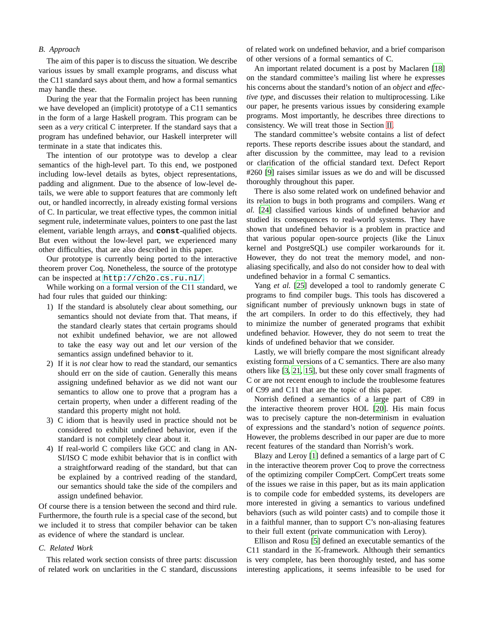#### *B. Approach*

The aim of this paper is to discuss the situation. We describe various issues by small example programs, and discuss what the C11 standard says about them, and how a formal semantics may handle these.

During the year that the Formalin project has been running we have developed an (implicit) prototype of a C11 semantics in the form of a large Haskell program. This program can be seen as a *very* critical C interpreter. If the standard says that a program has undefined behavior, our Haskell interpreter will terminate in a state that indicates this.

The intention of our prototype was to develop a clear semantics of the high-level part. To this end, we postponed including low-level details as bytes, object representations, padding and alignment. Due to the absence of low-level details, we were able to support features that are commonly left out, or handled incorrectly, in already existing formal versions of C. In particular, we treat effective types, the common initial segment rule, indeterminate values, pointers to one past the last element, variable length arrays, and **const**-qualified objects. But even without the low-level part, we experienced many other difficulties, that are also described in this paper.

Our prototype is currently being ported to the interactive theorem prover Coq. Nonetheless, the source of the prototype can be inspected at <http://ch2o.cs.ru.nl/>.

While working on a formal version of the C11 standard, we had four rules that guided our thinking:

- 1) If the standard is absolutely clear about something, our semantics should not deviate from that. That means, if the standard clearly states that certain programs should not exhibit undefined behavior, we are not allowed to take the easy way out and let *our* version of the semantics assign undefined behavior to it.
- 2) If it is *not* clear how to read the standard, our semantics should err on the side of caution. Generally this means assigning undefined behavior as we did not want our semantics to allow one to prove that a program has a certain property, when under a different reading of the standard this property might not hold.
- 3) C idiom that is heavily used in practice should not be considered to exhibit undefined behavior, even if the standard is not completely clear about it.
- 4) If real-world C compilers like GCC and clang in AN-SI/ISO C mode exhibit behavior that is in conflict with a straightforward reading of the standard, but that can be explained by a contrived reading of the standard, our semantics should take the side of the compilers and assign undefined behavior.

Of course there is a tension between the second and third rule. Furthermore, the fourth rule is a special case of the second, but we included it to stress that compiler behavior can be taken as evidence of where the standard is unclear.

## <span id="page-1-0"></span>*C. Related Work*

This related work section consists of three parts: discussion of related work on unclarities in the C standard, discussions

of related work on undefined behavior, and a brief comparison of other versions of a formal semantics of C.

An important related document is a post by Maclaren [\[18\]](#page-9-13) on the standard committee's mailing list where he expresses his concerns about the standard's notion of an *object* and *effective type*, and discusses their relation to multiprocessing. Like our paper, he presents various issues by considering example programs. Most importantly, he describes three directions to consistency. We will treat those in Section [II.](#page-2-0)

The standard committee's website contains a list of defect reports. These reports describe issues about the standard, and after discussion by the committee, may lead to a revision or clarification of the official standard text. Defect Report #260 [\[9\]](#page-9-12) raises similar issues as we do and will be discussed thoroughly throughout this paper.

There is also some related work on undefined behavior and its relation to bugs in both programs and compilers. Wang *et al.* [\[24](#page-9-5)] classified various kinds of undefined behavior and studied its consequences to real-world systems. They have shown that undefined behavior is a problem in practice and that various popular open-source projects (like the Linux kernel and PostgreSQL) use compiler workarounds for it. However, they do not treat the memory model, and nonaliasing specifically, and also do not consider how to deal with undefined behavior in a formal C semantics.

Yang *et al.* [\[25](#page-9-14)] developed a tool to randomly generate C programs to find compiler bugs. This tools has discovered a significant number of previously unknown bugs in state of the art compilers. In order to do this effectively, they had to minimize the number of generated programs that exhibit undefined behavior. However, they do not seem to treat the kinds of undefined behavior that we consider.

Lastly, we will briefly compare the most significant already existing formal versions of a C semantics. There are also many others like [\[3](#page-9-15), [21](#page-9-16), [15](#page-9-17)], but these only cover small fragments of C or are not recent enough to include the troublesome features of C99 and C11 that are the topic of this paper.

Norrish defined a semantics of a large part of C89 in the interactive theorem prover HOL [\[20](#page-9-18)]. His main focus was to precisely capture the non-determinism in evaluation of expressions and the standard's notion of *sequence points*. However, the problems described in our paper are due to more recent features of the standard than Norrish's work.

Blazy and Leroy [\[1\]](#page-9-19) defined a semantics of a large part of C in the interactive theorem prover Coq to prove the correctness of the optimizing compiler CompCert. CompCert treats some of the issues we raise in this paper, but as its main application is to compile code for embedded systems, its developers are more interested in giving a semantics to various undefined behaviors (such as wild pointer casts) and to compile those it in a faithful manner, than to support C's non-aliasing features to their full extent (private communication with Leroy).

Ellison and Rosu [\[5\]](#page-9-20) defined an executable semantics of the C11 standard in the K-framework. Although their semantics is very complete, has been thoroughly tested, and has some interesting applications, it seems infeasible to be used for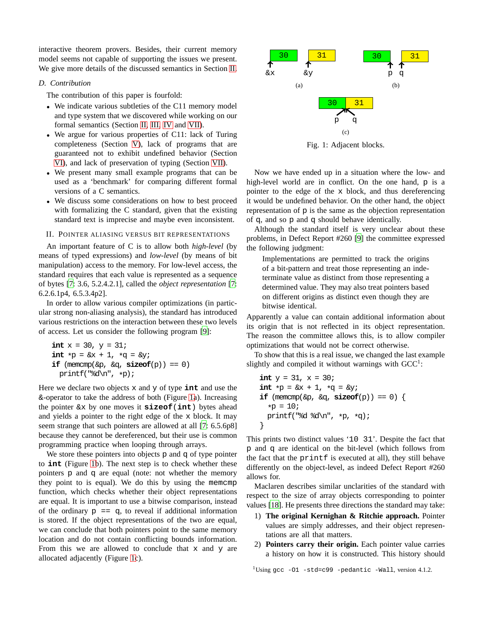interactive theorem provers. Besides, their current memory model seems not capable of supporting the issues we present. We give more details of the discussed semantics in Section [II.](#page-2-0)

# *D. Contribution*

The contribution of this paper is fourfold:

- We indicate various subtleties of the C11 memory model and type system that we discovered while working on our formal semantics (Section [II,](#page-2-0) [III,](#page-3-0) [IV](#page-4-0) and [VII\)](#page-7-0).
- We argue for various properties of C11: lack of Turing completeness (Section [V\)](#page-6-0), lack of programs that are guaranteed not to exhibit undefined behavior (Section [VI\)](#page-6-1), and lack of preservation of typing (Section [VII\)](#page-7-0).
- We present many small example programs that can be used as a 'benchmark' for comparing different formal versions of a C semantics.
- We discuss some considerations on how to best proceed with formalizing the C standard, given that the existing standard text is imprecise and maybe even inconsistent.

#### II. POINTER ALIASING VERSUS BIT REPRESENTATIONS

<span id="page-2-0"></span>An important feature of C is to allow both *high-level* (by means of typed expressions) and *low-level* (by means of bit manipulation) access to the memory. For low-level access, the standard requires that each value is represented as a sequence of bytes [\[7](#page-9-2): 3.6, 5.2.4.2.1], called the *object representation* [\[7](#page-9-2): 6.2.6.1p4, 6.5.3.4p2].

In order to allow various compiler optimizations (in particular strong non-aliasing analysis), the standard has introduced various restrictions on the interaction between these two levels of access. Let us consider the following program [\[9\]](#page-9-12):

```
int x = 30, y = 31;
int *p = \&x + 1, *q = \&y;if (memcmp(\&p, \&q, sizeof(p)) == 0)
 printf("%d\n", *p);
```
Here we declare two objects x and y of type **int** and use the &-operator to take the address of both (Figure [1a](#page-2-1)). Increasing the pointer &x by one moves it **sizeof**(**int**) bytes ahead and yields a pointer to the right edge of the x block. It may seem strange that such pointers are allowed at all [\[7:](#page-9-2) 6.5.6p8] because they cannot be dereferenced, but their use is common programming practice when looping through arrays.

We store these pointers into objects  $p$  and  $q$  of type pointer to **int** (Figure [1b](#page-2-1)). The next step is to check whether these pointers p and q are equal (note: not whether the memory they point to is equal). We do this by using the memcmp function, which checks whether their object representations are equal. It is important to use a bitwise comparison, instead of the ordinary  $p = q$ , to reveal if additional information is stored. If the object representations of the two are equal, we can conclude that both pointers point to the same memory location and do not contain conflicting bounds information. From this we are allowed to conclude that  $x$  and  $y$  are allocated adjacently (Figure [1c](#page-2-1)).



<span id="page-2-1"></span>Fig. 1: Adjacent blocks.

Now we have ended up in a situation where the low- and high-level world are in conflict. On the one hand, p is a pointer to the edge of the x block, and thus dereferencing it would be undefined behavior. On the other hand, the object representation of p is the same as the objection representation of q, and so p and q should behave identically.

Although the standard itself is very unclear about these problems, in Defect Report #260 [\[9\]](#page-9-12) the committee expressed the following judgment:

Implementations are permitted to track the origins of a bit-pattern and treat those representing an indeterminate value as distinct from those representing a determined value. They may also treat pointers based on different origins as distinct even though they are bitwise identical.

Apparently a value can contain additional information about its origin that is not reflected in its object representation. The reason the committee allows this, is to allow compiler optimizations that would not be correct otherwise.

To show that this is a real issue, we changed the last example slightly and compiled it without warnings with  $GCC<sup>1</sup>$ :

**int** y = 31, x = 30; **int** \*p = &x + 1, \*q = &y; **if** (memcmp(&p, &q, **sizeof**(p)) == 0) { \*p = 10; printf("%d %d\n", \*p, \*q); }

This prints two distinct values '10 31'. Despite the fact that p and q are identical on the bit-level (which follows from the fact that the printf is executed at all), they still behave differently on the object-level, as indeed Defect Report #260 allows for.

Maclaren describes similar unclarities of the standard with respect to the size of array objects corresponding to pointer values [\[18\]](#page-9-13). He presents three directions the standard may take:

- 1) **The original Kernighan & Ritchie approach.** Pointer values are simply addresses, and their object representations are all that matters.
- 2) **Pointers carry their origin.** Each pointer value carries a history on how it is constructed. This history should

<sup>1</sup>Using gcc -O1 -std=c99 -pedantic -Wall, version 4.1.2.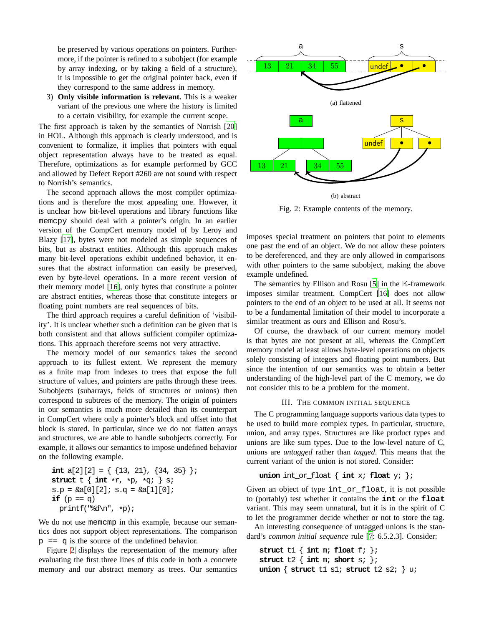be preserved by various operations on pointers. Furthermore, if the pointer is refined to a subobject (for example by array indexing, or by taking a field of a structure), it is impossible to get the original pointer back, even if they correspond to the same address in memory.

3) **Only visible information is relevant.** This is a weaker variant of the previous one where the history is limited to a certain visibility, for example the current scope.

The first approach is taken by the semantics of Norrish [\[20\]](#page-9-18) in HOL. Although this approach is clearly understood, and is convenient to formalize, it implies that pointers with equal object representation always have to be treated as equal. Therefore, optimizations as for example performed by GCC and allowed by Defect Report #260 are not sound with respect to Norrish's semantics.

The second approach allows the most compiler optimizations and is therefore the most appealing one. However, it is unclear how bit-level operations and library functions like memcpy should deal with a pointer's origin. In an earlier version of the CompCert memory model of by Leroy and Blazy [\[17\]](#page-9-21), bytes were not modeled as simple sequences of bits, but as abstract entities. Although this approach makes many bit-level operations exhibit undefined behavior, it ensures that the abstract information can easily be preserved, even by byte-level operations. In a more recent version of their memory model [\[16\]](#page-9-22), only bytes that constitute a pointer are abstract entities, whereas those that constitute integers or floating point numbers are real sequences of bits.

The third approach requires a careful definition of 'visibility'. It is unclear whether such a definition can be given that is both consistent and that allows sufficient compiler optimizations. This approach therefore seems not very attractive.

The memory model of our semantics takes the second approach to its fullest extent. We represent the memory as a finite map from indexes to trees that expose the full structure of values, and pointers are paths through these trees. Subobjects (subarrays, fields of structures or unions) then correspond to subtrees of the memory. The origin of pointers in our semantics is much more detailed than its counterpart in CompCert where only a pointer's block and offset into that block is stored. In particular, since we do not flatten arrays and structures, we are able to handle subobjects correctly. For example, it allows our semantics to impose undefined behavior on the following example.

```
int a[2][2] = { \{13, 21\}, \{34, 35\} };
struct t \{ int *r, *p, *qi \} s;
s.p = \&a[0][2]; s.q = \&a[1][0];if (p == q)printf("%d\n", *p);
```
We do not use memcmp in this example, because our semantics does not support object representations. The comparison  $p = q$  is the source of the undefined behavior.

Figure [2](#page-3-1) displays the representation of the memory after evaluating the first three lines of this code in both a concrete memory and our abstract memory as trees. Our semantics



<span id="page-3-1"></span>Fig. 2: Example contents of the memory.

imposes special treatment on pointers that point to elements one past the end of an object. We do not allow these pointers to be dereferenced, and they are only allowed in comparisons with other pointers to the same subobject, making the above example undefined.

The semantics by Ellison and Rosu [\[5](#page-9-20)] in the K-framework imposes similar treatment. CompCert [\[16\]](#page-9-22) does not allow pointers to the end of an object to be used at all. It seems not to be a fundamental limitation of their model to incorporate a similar treatment as ours and Ellison and Rosu's.

Of course, the drawback of our current memory model is that bytes are not present at all, whereas the CompCert memory model at least allows byte-level operations on objects solely consisting of integers and floating point numbers. But since the intention of our semantics was to obtain a better understanding of the high-level part of the C memory, we do not consider this to be a problem for the moment.

## III. THE COMMON INITIAL SEQUENCE

<span id="page-3-0"></span>The C programming language supports various data types to be used to build more complex types. In particular, structure, union, and array types. Structures are like product types and unions are like sum types. Due to the low-level nature of C, unions are *untagged* rather than *tagged*. This means that the current variant of the union is not stored. Consider:

# **union** int or float { **int** x; **float** y; };

Given an object of type int\_or\_float, it is not possible to (portably) test whether it contains the **int** or the **float** variant. This may seem unnatural, but it is in the spirit of C to let the programmer decide whether or not to store the tag.

An interesting consequence of untagged unions is the standard's *common initial sequence* rule [\[7:](#page-9-2) 6.5.2.3]. Consider:

```
struct t1 { int m; float f; };
struct t2 { int m; short s; };
union { struct t1 s1; struct t2 s2; } u;
```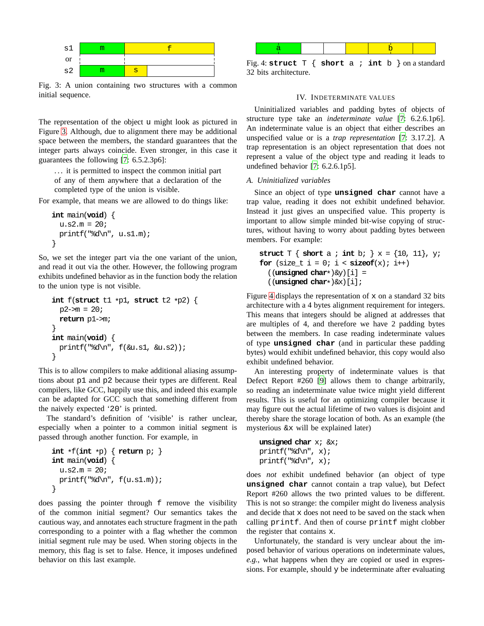

<span id="page-4-1"></span>Fig. 3: A union containing two structures with a common initial sequence.

The representation of the object u might look as pictured in Figure [3.](#page-4-1) Although, due to alignment there may be additional space between the members, the standard guarantees that the integer parts always coincide. Even stronger, in this case it guarantees the following [\[7:](#page-9-2) 6.5.2.3p6]:

. . . it is permitted to inspect the common initial part of any of them anywhere that a declaration of the completed type of the union is visible.

For example, that means we are allowed to do things like:

```
int main(void) {
  u.s2.m = 20;printf("%d\n", u.s1.m);
}
```
So, we set the integer part via the one variant of the union, and read it out via the other. However, the following program exhibits undefined behavior as in the function body the relation to the union type is not visible.

```
int f(struct t1 *p1, struct t2 *p2) {
  p2 \rightarrow m = 20;return p1->m;
}
int main(void) {
  printf("%d\n", f(&u.s1, &u.s2));
}
```
This is to allow compilers to make additional aliasing assumptions about p1 and p2 because their types are different. Real compilers, like GCC, happily use this, and indeed this example can be adapted for GCC such that something different from the naively expected '20' is printed.

The standard's definition of 'visible' is rather unclear, especially when a pointer to a common initial segment is passed through another function. For example, in

```
int *f(int *p) { return p; }
int main(void) {
 u.s2.m = 20;printf("%d\n", f(u.s1.m));
}
```
does passing the pointer through f remove the visibility of the common initial segment? Our semantics takes the cautious way, and annotates each structure fragment in the path corresponding to a pointer with a flag whether the common initial segment rule may be used. When storing objects in the memory, this flag is set to false. Hence, it imposes undefined behavior on this last example.



<span id="page-4-2"></span><span id="page-4-0"></span>Fig. 4: **struct** T { **short** a ; **int** b } on a standard 32 bits architecture.

#### IV. INDETERMINATE VALUES

Uninitialized variables and padding bytes of objects of structure type take an *indeterminate value* [\[7](#page-9-2): 6.2.6.1p6]. An indeterminate value is an object that either describes an unspecified value or is a *trap representation* [\[7:](#page-9-2) 3.17.2]. A trap representation is an object representation that does not represent a value of the object type and reading it leads to undefined behavior [\[7](#page-9-2): 6.2.6.1p5].

#### *A. Uninitialized variables*

Since an object of type **unsigned char** cannot have a trap value, reading it does not exhibit undefined behavior. Instead it just gives an unspecified value. This property is important to allow simple minded bit-wise copying of structures, without having to worry about padding bytes between members. For example:

```
struct T \{ \text{short } a : \text{int } b : \} x = \{10, 11\}, y;
for (size_t i = 0; i < sizeof(x); i++)
  ((unsigned char*)&y)[i] =
  ((unsigned char*)&x)[i];
```
Figure [4](#page-4-2) displays the representation of  $x$  on a standard 32 bits architecture with a 4 bytes alignment requirement for integers. This means that integers should be aligned at addresses that are multiples of 4, and therefore we have 2 padding bytes between the members. In case reading indeterminate values of type **unsigned char** (and in particular these padding bytes) would exhibit undefined behavior, this copy would also exhibit undefined behavior.

An interesting property of indeterminate values is that Defect Report #260 [\[9\]](#page-9-12) allows them to change arbitrarily, so reading an indeterminate value twice might yield different results. This is useful for an optimizing compiler because it may figure out the actual lifetime of two values is disjoint and thereby share the storage location of both. As an example (the mysterious &x will be explained later)

```
unsigned char x; &x;
printf("%d\n", x);
printf("%d\n", x);
```
does *not* exhibit undefined behavior (an object of type **unsigned char** cannot contain a trap value), but Defect Report #260 allows the two printed values to be different. This is not so strange: the compiler might do liveness analysis and decide that x does not need to be saved on the stack when calling printf. And then of course printf might clobber the register that contains x.

Unfortunately, the standard is very unclear about the imposed behavior of various operations on indeterminate values, *e.g.*, what happens when they are copied or used in expressions. For example, should y be indeterminate after evaluating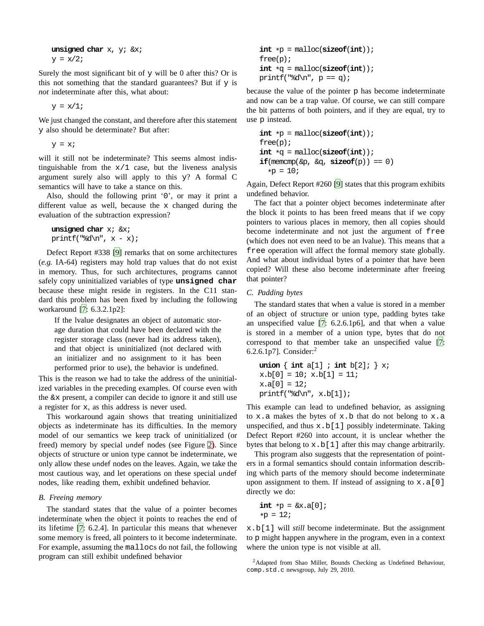```
unsigned char x, y; &x;
y = x/2;
```
Surely the most significant bit of  $y$  will be 0 after this? Or is this not something that the standard guarantees? But if  $y$  is *not* indeterminate after this, what about:

 $y = x/1;$ 

We just changed the constant, and therefore after this statement y also should be determinate? But after:

 $y = x_i$ 

will it still not be indeterminate? This seems almost indistinguishable from the  $x/1$  case, but the liveness analysis argument surely also will apply to this y? A formal C semantics will have to take a stance on this.

Also, should the following print '0', or may it print a different value as well, because the x changed during the evaluation of the subtraction expression?

```
unsigned char x; &x;
printf("%d\n", x - x);
```
Defect Report #338 [\[9\]](#page-9-12) remarks that on some architectures (*e.g.* IA-64) registers may hold trap values that do not exist in memory. Thus, for such architectures, programs cannot safely copy uninitialized variables of type **unsigned char** because these might reside in registers. In the C11 standard this problem has been fixed by including the following workaround [\[7:](#page-9-2) 6.3.2.1p2]:

If the lvalue designates an object of automatic storage duration that could have been declared with the register storage class (never had its address taken), and that object is uninitialized (not declared with an initializer and no assignment to it has been performed prior to use), the behavior is undefined.

This is the reason we had to take the address of the uninitialized variables in the preceding examples. Of course even with the &x present, a compiler can decide to ignore it and still use a register for x, as this address is never used.

This workaround again shows that treating uninitialized objects as indeterminate has its difficulties. In the memory model of our semantics we keep track of uninitialized (or freed) memory by special undef nodes (see Figure [2\)](#page-3-1). Since objects of structure or union type cannot be indeterminate, we only allow these undef nodes on the leaves. Again, we take the most cautious way, and let operations on these special undef nodes, like reading them, exhibit undefined behavior.

## *B. Freeing memory*

The standard states that the value of a pointer becomes indeterminate when the object it points to reaches the end of its lifetime [\[7](#page-9-2): 6.2.4]. In particular this means that whenever some memory is freed, all pointers to it become indeterminate. For example, assuming the mallocs do not fail, the following program can still exhibit undefined behavior

```
int *p = <math>malloc</math>(<b>size</b>(<b>int</b>));
free(p);
int *q = \text{malloc}(sizeof(int));printf("%d\n", p == q);
```
because the value of the pointer p has become indeterminate and now can be a trap value. Of course, we can still compare the bit patterns of both pointers, and if they are equal, try to use p instead.

```
int *p = <math>malloc</math>(<b>size</b>(<b>int</b>));
free(p);
int *q = \text{malloc}(sizeof(int));if(\text{memcmp}(\&p, \&q, \text{sizeof}(p)) == 0)*<b>p</b> = 10;
```
Again, Defect Report #260 [\[9\]](#page-9-12) states that this program exhibits undefined behavior.

The fact that a pointer object becomes indeterminate after the block it points to has been freed means that if we copy pointers to various places in memory, then all copies should become indeterminate and not just the argument of free (which does not even need to be an lvalue). This means that a free operation will affect the formal memory state globally. And what about individual bytes of a pointer that have been copied? Will these also become indeterminate after freeing that pointer?

## *C. Padding bytes*

The standard states that when a value is stored in a member of an object of structure or union type, padding bytes take an unspecified value [\[7](#page-9-2): 6.2.6.1p6], and that when a value is stored in a member of a union type, bytes that do not correspond to that member take an unspecified value [\[7](#page-9-2): 6.2.6.1p7]. Consider:<sup>2</sup>

```
union \{ int a[1] \; int b[2]; \} x;
x.b[0] = 10; x.b[1] = 11;x.a[0] = 12;printf("d\n", x.b[1]);
```
This example can lead to undefined behavior, as assigning to  $x$ . a makes the bytes of  $x$ . b that do not belong to  $x$ . a unspecified, and thus  $x.b[1]$  possibly indeterminate. Taking Defect Report #260 into account, it is unclear whether the bytes that belong to  $x.b[1]$  after this may change arbitrarily.

This program also suggests that the representation of pointers in a formal semantics should contain information describing which parts of the memory should become indeterminate upon assignment to them. If instead of assigning to  $x.a[0]$ directly we do:

$$
\begin{aligned} &\text{int} \ast \mathbf{p} = \& \mathbf{x}.\mathbf{a}[0];\\ &\ast \mathbf{p} = 12; \end{aligned}
$$

x.b[1] will *still* become indeterminate. But the assignment to p might happen anywhere in the program, even in a context where the union type is not visible at all.

<sup>&</sup>lt;sup>2</sup>Adapted from Shao Miller, Bounds Checking as Undefined Behaviour, comp.std.c newsgroup, July 29, 2010.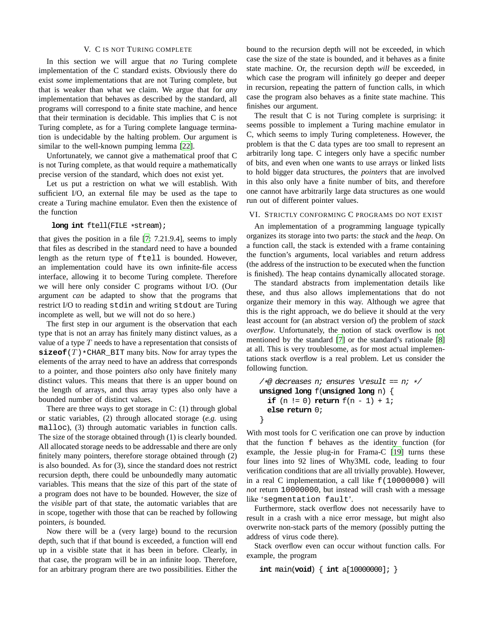#### V. C IS NOT TURING COMPLETE

<span id="page-6-0"></span>In this section we will argue that *no* Turing complete implementation of the C standard exists. Obviously there do exist *some* implementations that are not Turing complete, but that is weaker than what we claim. We argue that for *any* implementation that behaves as described by the standard, all programs will correspond to a finite state machine, and hence that their termination is decidable. This implies that C is not Turing complete, as for a Turing complete language termination is undecidable by the halting problem. Our argument is similar to the well-known pumping lemma [\[22\]](#page-9-23).

Unfortunately, we cannot give a mathematical proof that C is not Turing complete, as that would require a mathematically precise version of the standard, which does not exist yet.

Let us put a restriction on what we will establish. With sufficient I/O, an external file may be used as the tape to create a Turing machine emulator. Even then the existence of the function

#### **long int** ftell(FILE \*stream);

that gives the position in a file [\[7:](#page-9-2) 7.21.9.4], seems to imply that files as described in the standard need to have a bounded length as the return type of ftell is bounded. However, an implementation could have its own infinite-file access interface, allowing it to become Turing complete. Therefore we will here only consider C programs without I/O. (Our argument *can* be adapted to show that the programs that restrict I/O to reading stdin and writing stdout are Turing incomplete as well, but we will not do so here.)

The first step in our argument is the observation that each type that is not an array has finitely many distinct values, as a value of a type  $T$  needs to have a representation that consists of  $\mathbf{sizeof}(T) * \text{CHAR\_BIT}$  many bits. Now for array types the elements of the array need to have an address that corresponds to a pointer, and those pointers *also* only have finitely many distinct values. This means that there is an upper bound on the length of arrays, and thus array types also only have a bounded number of distinct values.

There are three ways to get storage in C: (1) through global or static variables, (2) through allocated storage (*e.g.* using malloc), (3) through automatic variables in function calls. The size of the storage obtained through (1) is clearly bounded. All allocated storage needs to be addressable and there are only finitely many pointers, therefore storage obtained through (2) is also bounded. As for (3), since the standard does not restrict recursion depth, there could be unboundedly many automatic variables. This means that the size of this part of the state of a program does not have to be bounded. However, the size of the *visible* part of that state, the automatic variables that are in scope, together with those that can be reached by following pointers, *is* bounded.

Now there will be a (very large) bound to the recursion depth, such that if that bound is exceeded, a function will end up in a visible state that it has been in before. Clearly, in that case, the program will be in an infinite loop. Therefore, for an arbitrary program there are two possibilities. Either the bound to the recursion depth will not be exceeded, in which case the size of the state is bounded, and it behaves as a finite state machine. Or, the recursion depth *will* be exceeded, in which case the program will infinitely go deeper and deeper in recursion, repeating the pattern of function calls, in which case the program also behaves as a finite state machine. This finishes our argument.

The result that C is not Turing complete is surprising: it seems possible to implement a Turing machine emulator in C, which seems to imply Turing completeness. However, the problem is that the C data types are too small to represent an arbitrarily long tape. C integers only have a specific number of bits, and even when one wants to use arrays or linked lists to hold bigger data structures, the *pointers* that are involved in this also only have a finite number of bits, and therefore one cannot have arbitrarily large data structures as one would run out of different pointer values.

# <span id="page-6-1"></span>VI. STRICTLY CONFORMING C PROGRAMS DO NOT EXIST

An implementation of a programming language typically organizes its storage into two parts: the *stack* and the *heap*. On a function call, the stack is extended with a frame containing the function's arguments, local variables and return address (the address of the instruction to be executed when the function is finished). The heap contains dynamically allocated storage.

The standard abstracts from implementation details like these, and thus also allows implementations that do not organize their memory in this way. Although we agree that this is the right approach, we do believe it should at the very least account for (an abstract version of) the problem of *stack overflow*. Unfortunately, the notion of stack overflow is not mentioned by the standard [\[7](#page-9-2)] or the standard's rationale [\[8\]](#page-9-24) at all. This is very troublesome, as for most actual implementations stack overflow is a real problem. Let us consider the following function.

```
/*@ decreases n; ensures \result == n; */
unsigned long f(unsigned long n) {
  if (n := 0) return f(n - 1) + 1;
  else return 0;
}
```
With most tools for C verification one can prove by induction that the function f behaves as the identity function (for example, the Jessie plug-in for Frama-C [\[19\]](#page-9-9) turns these four lines into 92 lines of Why3ML code, leading to four verification conditions that are all trivially provable). However, in a real C implementation, a call like f(10000000) will *not* return 10000000, but instead will crash with a message like 'segmentation fault'.

Furthermore, stack overflow does not necessarily have to result in a crash with a nice error message, but might also overwrite non-stack parts of the memory (possibly putting the address of virus code there).

Stack overflow even can occur without function calls. For example, the program

**int** main(**void**) { **int** a[10000000]; }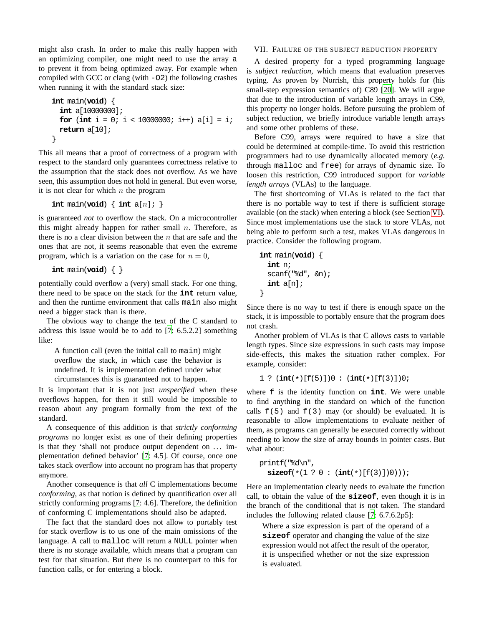might also crash. In order to make this really happen with an optimizing compiler, one might need to use the array a to prevent it from being optimized away. For example when compiled with GCC or clang (with -O2) the following crashes when running it with the standard stack size:

```
int main(void) {
  int a[10000000];
  for (int i = 0; i < 10000000; i++) a[i] = i;
  return a[10];
}
```
This all means that a proof of correctness of a program with respect to the standard only guarantees correctness relative to the assumption that the stack does not overflow. As we have seen, this assumption does not hold in general. But even worse, it is not clear for which  $n$  the program

```
int \text{main}(void) \{ int \text{a}[n]; \}
```
is guaranteed *not* to overflow the stack. On a microcontroller this might already happen for rather small  $n$ . Therefore, as there is no a clear division between the  $n$  that are safe and the ones that are not, it seems reasonable that even the extreme program, which is a variation on the case for  $n = 0$ ,

```
int main(void) { }
```
potentially could overflow a (very) small stack. For one thing, there need to be space on the stack for the **int** return value, and then the runtime environment that calls main also might need a bigger stack than is there.

The obvious way to change the text of the C standard to address this issue would be to add to [\[7](#page-9-2): 6.5.2.2] something like:

A function call (even the initial call to main) might overflow the stack, in which case the behavior is undefined. It is implementation defined under what circumstances this is guaranteed not to happen.

It is important that it is not just *unspecified* when these overflows happen, for then it still would be impossible to reason about any program formally from the text of the standard.

A consequence of this addition is that *strictly conforming programs* no longer exist as one of their defining properties is that they 'shall not produce output dependent on ... implementation defined behavior' [\[7:](#page-9-2) 4.5]. Of course, once one takes stack overflow into account no program has that property anymore.

Another consequence is that *all* C implementations become *conforming*, as that notion is defined by quantification over all strictly conforming programs [\[7:](#page-9-2) 4.6]. Therefore, the definition of conforming C implementations should also be adapted.

The fact that the standard does not allow to portably test for stack overflow is to us one of the main omissions of the language. A call to malloc will return a NULL pointer when there is no storage available, which means that a program can test for that situation. But there is no counterpart to this for function calls, or for entering a block.

# VII. FAILURE OF THE SUBJECT REDUCTION PROPERTY

<span id="page-7-0"></span>A desired property for a typed programming language is *subject reduction*, which means that evaluation preserves typing. As proven by Norrish, this property holds for (his small-step expression semantics of) C89 [\[20](#page-9-18)]. We will argue that due to the introduction of variable length arrays in C99, this property no longer holds. Before pursuing the problem of subject reduction, we briefly introduce variable length arrays and some other problems of these.

Before C99, arrays were required to have a size that could be determined at compile-time. To avoid this restriction programmers had to use dynamically allocated memory (*e.g.* through malloc and free) for arrays of dynamic size. To loosen this restriction, C99 introduced support for *variable length arrays* (VLAs) to the language.

The first shortcoming of VLAs is related to the fact that there is no portable way to test if there is sufficient storage available (on the stack) when entering a block (see Section [VI\)](#page-6-1). Since most implementations use the stack to store VLAs, not being able to perform such a test, makes VLAs dangerous in practice. Consider the following program.

```
int main(void) {
  int n;
  scanf("%d", &n);
  int a[n];
}
```
Since there is no way to test if there is enough space on the stack, it is impossible to portably ensure that the program does not crash.

Another problem of VLAs is that C allows casts to variable length types. Since size expressions in such casts may impose side-effects, this makes the situation rather complex. For example, consider:

```
1 ? (int(*)[f(5)])0 : (int(*)[f(3)])0;
```
where f is the identity function on **int**. We were unable to find anything in the standard on which of the function calls  $f(5)$  and  $f(3)$  may (or should) be evaluated. It is reasonable to allow implementations to evaluate neither of them, as programs can generally be executed correctly without needing to know the size of array bounds in pointer casts. But what about:

```
printf("%d\n",
  sizeof(* (1 ? 0 : (int(*)[f(3)])0)));
```
Here an implementation clearly needs to evaluate the function call, to obtain the value of the **sizeof**, even though it is in the branch of the conditional that is not taken. The standard includes the following related clause [\[7:](#page-9-2) 6.7.6.2p5]:

Where a size expression is part of the operand of a **sizeof** operator and changing the value of the size expression would not affect the result of the operator, it is unspecified whether or not the size expression is evaluated.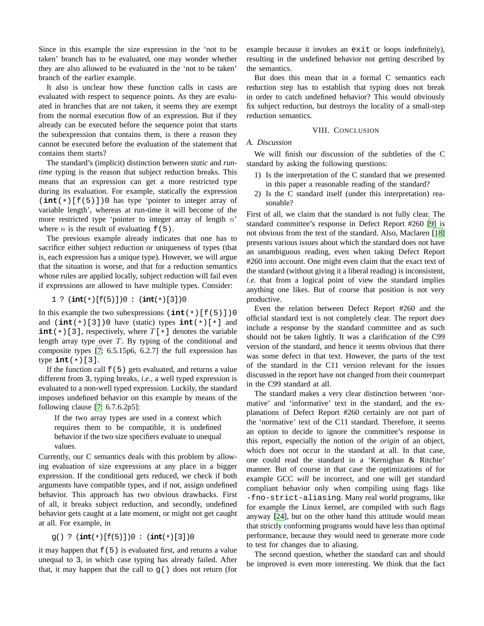Since in this example the size expression in the 'not to be taken' branch has to be evaluated, one may wonder whether they are also allowed to be evaluated in the 'not to be taken' branch of the earlier example.

It also is unclear how these function calls in casts are evaluated with respect to sequence points. As they are evaluated in branches that are not taken, it seems they are exempt from the normal execution flow of an expression. But if they already can be executed before the sequence point that starts the subexpression that contains them, is there a reason they cannot be executed before the evaluation of the statement that contains them starts?

The standard's (implicit) distinction between *static* and *runtime* typing is the reason that subject reduction breaks. This means that an expression can get a more restricted type during its evaluation. For example, statically the expression (**int**(\*)[f(5)])0 has type 'pointer to integer array of variable length', whereas at run-time it will become of the more restricted type 'pointer to integer array of length  $n$ ' where *n* is the result of evaluating  $f(5)$ .

The previous example already indicates that one has to sacrifice either subject reduction or uniqueness of types (that is, each expression has a unique type). However, we will argue that the situation is worse, and that for a reduction semantics whose rules are applied locally, subject reduction will fail even if expressions are allowed to have multiple types. Consider:

1 ? (**int**(\*)[f(5)])0 : (**int**(\*)[3])0

In this example the two subexpressions  $(\text{int}(*)[f(5)])$ and (**int**(\*)[3])0 have (static) types **int**(\*)[\*] and **int**  $(*)$  [3], respectively, where  $T[*]$  denotes the variable length array type over  $T$ . By typing of the conditional and composite types [\[7](#page-9-2): 6.5.15p6, 6.2.7] the full expression has type  $int(*)$ [3].

If the function call  $f(5)$  gets evaluated, and returns a value different from 3, typing breaks, *i.e.*, a well typed expression is evaluated to a non-well typed expression. Luckily, the standard imposes undefined behavior on this example by means of the following clause [\[7:](#page-9-2) 6.7.6.2p5]:

If the two array types are used in a context which requires them to be compatible, it is undefined behavior if the two size specifiers evaluate to unequal values.

Currently, our C semantics deals with this problem by allowing evaluation of size expressions at any place in a bigger expression. If the conditional gets reduced, we check if both arguments have compatible types, and if not, assign undefined behavior. This approach has two obvious drawbacks. First of all, it breaks subject reduction, and secondly, undefined behavior gets caught at a late moment, or might not get caught at all. For example, in

$$
g()
$$
 ?  $(int(*)[f(5)])0 : (int(*)[3])0$ 

it may happen that  $f(5)$  is evaluated first, and returns a value unequal to 3, in which case typing has already failed. After that, it may happen that the call to  $g()$  does not return (for example because it invokes an exit or loops indefinitely), resulting in the undefined behavior not getting described by the semantics.

But does this mean that in a formal C semantics each reduction step has to establish that typing does not break in order to catch undefined behavior? This would obviously fix subject reduction, but destroys the locality of a small-step reduction semantics.

# VIII. CONCLUSION

# *A. Discussion*

We will finish our discussion of the subtleties of the C standard by asking the following questions:

- 1) Is the interpretation of the C standard that we presented in this paper a reasonable reading of the standard?
- 2) Is the C standard itself (under this interpretation) reasonable?

First of all, we claim that the standard is not fully clear. The standard committee's response in Defect Report #260 [\[9\]](#page-9-12) is not obvious from the text of the standard. Also, Maclaren [\[18\]](#page-9-13) presents various issues about which the standard does not have an unambiguous reading, even when taking Defect Report #260 into account. One might even claim that the exact text of the standard (without giving it a liberal reading) is inconsistent, *i.e.* that from a logical point of view the standard implies anything one likes. But of course that position is not very productive.

Even the relation between Defect Report #260 and the official standard text is not completely clear. The report *does* include a response by the standard committee and as such should not be taken lightly. It was a clarification of the C99 version of the standard, and hence it seems obvious that there was some defect in that text. However, the parts of the text of the standard in the C11 version relevant for the issues discussed in the report have not changed from their counterpart in the C99 standard at all.

The standard makes a very clear distinction between 'normative' and 'informative' text in the standard, and the explanations of Defect Report #260 certainly are not part of the 'normative' text of the C11 standard. Therefore, it seems an option to decide to ignore the committee's response in this report, especially the notion of the *origin* of an object, which does not occur in the standard at all. In that case, one could read the standard in a 'Kernighan & Ritchie' manner. But of course in that case the optimizations of for example GCC *will* be incorrect, and one will get standard compliant behavior only when compiling using flags like -fno-strict-aliasing. Many real world programs, like for example the Linux kernel, are compiled with such flags anyway [\[24\]](#page-9-5), but on the other hand this attitude would mean that strictly conforming programs would have less than optimal performance, because they would need to generate more code to test for changes due to aliasing.

The second question, whether the standard can and should be improved is even more interesting. We think that the fact